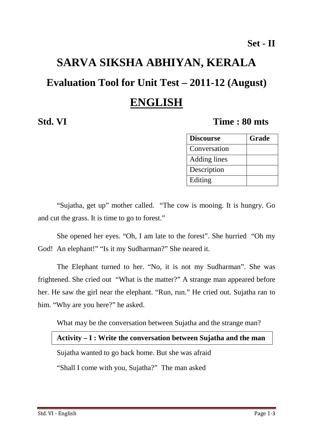# **SARVA SIKSHA ABHIYAN, KERALA**

## **Evaluation Tool for Unit Test – 2011-12 (August)**

# **ENGLISH**

## **Std. VI Time : 80 mts**

| <b>Discourse</b> | <b>Grade</b> |
|------------------|--------------|
| Conversation     |              |
| Adding lines     |              |
| Description      |              |
| Editing          |              |

"Sujatha, get up" mother called. "The cow is mooing. It is hungry. Go and cut the grass. It is time to go to forest."

She opened her eyes. "Oh, I am late to the forest". She hurried "Oh my God! An elephant!" "Is it my Sudharman?" She neared it.

The Elephant turned to her. "No, it is not my Sudharman". She was frightened. She cried out "What is the matter?" A strange man appeared before her. He saw the girl near the elephant. "Run, run." He cried out. Sujatha ran to him. "Why are you here?" he asked.

What may be the conversation between Sujatha and the strange man?

#### **Activity – I : Write the conversation between Sujatha and the man**

Sujatha wanted to go back home. But she was afraid

"Shall I come with you, Sujatha?" The man asked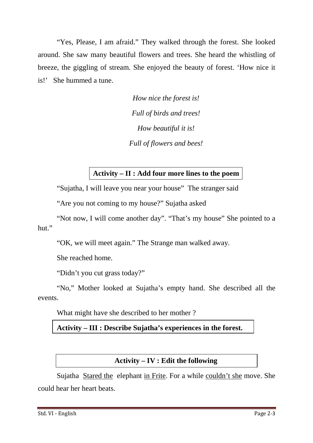"Yes, Please, I am afraid." They walked through the forest. She looked around. She saw many beautiful flowers and trees. She heard the whistling of breeze, the giggling of stream. She enjoyed the beauty of forest. 'How nice it is!' She hummed a tune.

> *How nice the forest is! Full of birds and trees! How beautiful it is! Full of flowers and bees!*

#### **Activity – II : Add four more lines to the poem**

"Sujatha, I will leave you near your house" The stranger said

"Are you not coming to my house?" Sujatha asked

"Not now, I will come another day". "That's my house" She pointed to a hut."

"OK, we will meet again." The Strange man walked away.

She reached home.

"Didn't you cut grass today?"

"No," Mother looked at Sujatha's empty hand. She described all the events.

What might have she described to her mother ?

**Activity – III : Describe Sujatha's experiences in the forest.** 

#### **Activity – IV : Edit the following**

Sujatha Stared the elephant in Frite. For a while couldn't she move. She could hear her heart beats.